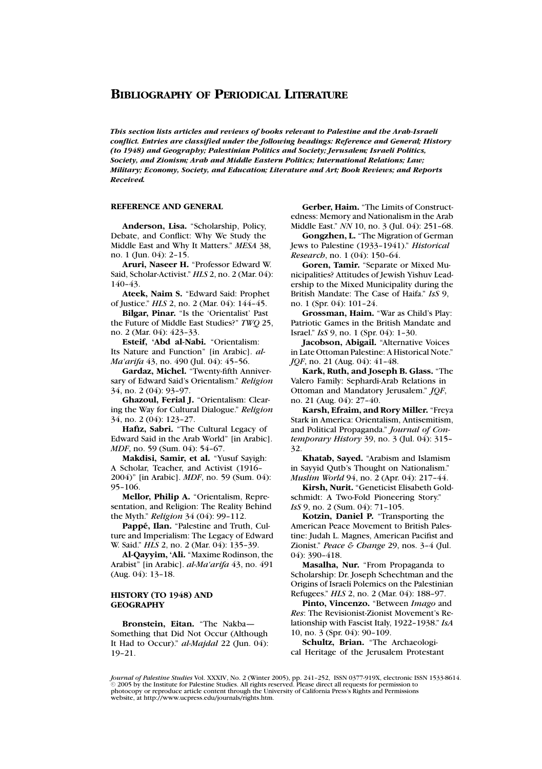*This section lists articles and reviews of books relevant to Palestine and the Arab-Israeli conflict. Entries are classified under the following headings: Reference and General; History (to 1948) and Geography; Palestinian Politics and Society; Jerusalem; Israeli Politics, Society, and Zionism; Arab and Middle Eastern Politics; International Relations; Law; Military; Economy, Society, and Education; Literature and Art; Book Reviews; and Reports Received.*

# **REFERENCE AND GENERAL**

**Anderson, Lisa.** "Scholarship, Policy, Debate, and Conflict: Why We Study the Middle East and Why It Matters." *MESA* 38, no. 1 (Jun. 04): 2–15.

**Aruri, Naseer H.** "Professor Edward W. Said, Scholar-Activist." *HLS* 2, no. 2 (Mar. 04): 140–43.

**Ateek, Naim S.** "Edward Said: Prophet of Justice." *HLS* 2, no. 2 (Mar. 04): 144–45.

**Bilgar, Pinar.** "Is the 'Orientalist' Past the Future of Middle East Studies?" *TWQ* 25, no. 2 (Mar. 04): 423–33.

**Esteif, 'Abd al-Nabi.** "Orientalism: Its Nature and Function" [in Arabic]. *al-Ma'arifa* 43, no. 490 (Jul. 04): 45–56.

**Gardaz, Michel.** "Twenty-fifth Anniversary of Edward Said's Orientalism." *Religion* 34, no. 2 (04): 93–97.

**Ghazoul, Ferial J.** "Orientalism: Clearing the Way for Cultural Dialogue." *Religion* 34, no. 2 (04): 123–27.

**Hafiz, Sabri.** "The Cultural Legacy of Edward Said in the Arab World" [in Arabic]. *MDF*, no. 59 (Sum. 04): 54–67.

**Makdisi, Samir, et al.** "Yusuf Sayigh: A Scholar, Teacher, and Activist (1916– 2004)" [in Arabic]. *MDF*, no. 59 (Sum. 04): 95–106.

**Mellor, Philip A.** "Orientalism, Representation, and Religion: The Reality Behind the Myth." *Religion* 34 (04): 99–112.

Pappé, Ilan. "Palestine and Truth, Culture and Imperialism: The Legacy of Edward W. Said." *HLS* 2, no. 2 (Mar. 04): 135–39.

**Al-Qayyim, 'Ali.** "Maxime Rodinson, the Arabist" [in Arabic]. *al-Ma'arifa* 43, no. 491 (Aug. 04): 13–18.

### **HISTORY (TO 1948) AND GEOGRAPHY**

**Bronstein, Eitan.** "The Nakba— Something that Did Not Occur (Although It Had to Occur)." *al-Majdal* 22 (Jun. 04): 19–21.

**Gerber, Haim.** "The Limits of Constructedness: Memory and Nationalism in the Arab Middle East." *NN* 10, no. 3 (Jul. 04): 251–68.

**Gongzhen, L.** "The Migration of German Jews to Palestine (1933–1941)." *Historical Research*, no. 1 (04): 150–64.

**Goren, Tamir.** "Separate or Mixed Municipalities? Attitudes of Jewish Yishuv Leadership to the Mixed Municipality during the British Mandate: The Case of Haifa." *IsS* 9, no. 1 (Spr. 04): 101–24.

**Grossman, Haim.** "War as Child's Play: Patriotic Games in the British Mandate and Israel." *IsS* 9, no. 1 (Spr. 04): 1–30.

**Jacobson, Abigail.** "Alternative Voices in Late Ottoman Palestine: A Historical Note." *JQF*, no. 21 (Aug. 04): 41–48.

**Kark, Ruth, and Joseph B. Glass.** "The Valero Family: Sephardi-Arab Relations in Ottoman and Mandatory Jerusalem." *JQF*, no. 21 (Aug. 04): 27–40.

**Karsh, Efraim, and Rory Miller.** "Freya Stark in America: Orientalism, Antisemitism, and Political Propaganda." *Journal of Contemporary History* 39, no. 3 (Jul. 04): 315– 32.

**Khatab, Sayed.** "Arabism and Islamism in Sayyid Qutb's Thought on Nationalism." *Muslim World* 94, no. 2 (Apr. 04): 217–44.

**Kirsh, Nurit.** "Geneticist Elisabeth Goldschmidt: A Two-Fold Pioneering Story." *IsS* 9, no. 2 (Sum. 04): 71-105.

**Kotzin, Daniel P.** "Transporting the American Peace Movement to British Palestine: Judah L. Magnes, American Pacifist and Zionist." *Peace & Change* 29, nos. 3–4 (Jul. 04): 390–418.

**Masalha, Nur.** "From Propaganda to Scholarship: Dr. Joseph Schechtman and the Origins of Israeli Polemics on the Palestinian Refugees." *HLS* 2, no. 2 (Mar. 04): 188–97.

**Pinto, Vincenzo.** "Between *Imago* and *Res*: The Revisionist-Zionist Movement's Relationship with Fascist Italy, 1922–1938." *IsA* 10, no. 3 (Spr. 04): 90–109.

**Schultz, Brian.** "The Archaeological Heritage of the Jerusalem Protestant

*Journal of Palestine Studies* Vol. XXXIV, No. 2 (Winter 2005), pp. 241–252, ISSN 0377-919X, electronic ISSN 1533-8614.<br>© 2005 by the Institute for Palestine Studies. All rights reserved. Please direct all requests for p photocopy or reproduce article content through the University of California Press's Rights and Permissions website, at http://www.ucpress.edu/journals/rights.htm.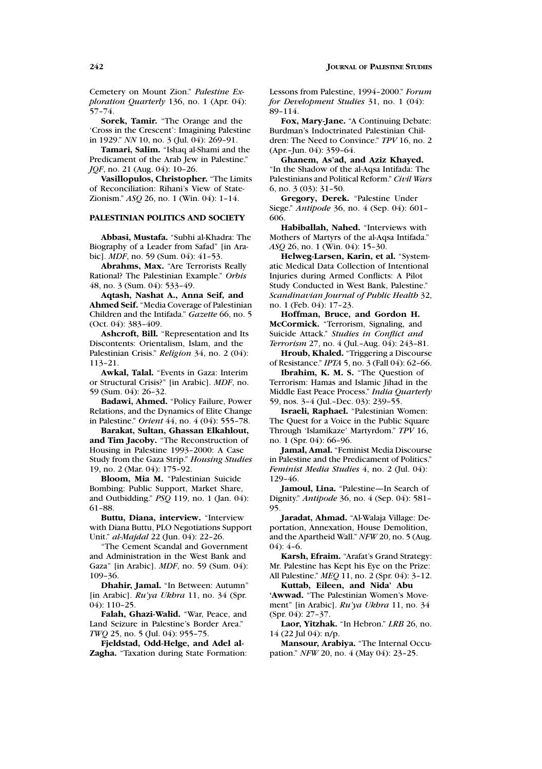Cemetery on Mount Zion." *Palestine Exploration Quarterly* 136, no. 1 (Apr. 04):  $57 - 74.$ 

**Sorek, Tamir.** "The Orange and the 'Cross in the Crescent': Imagining Palestine in 1929." *NN* 10, no. 3 (Jul. 04): 269–91.

**Tamari, Salim.** "Ishaq al-Shami and the Predicament of the Arab Jew in Palestine." *JQF*, no. 21 (Aug. 04): 10-26.

**Vasillopulos, Christopher.** "The Limits of Reconciliation: Rihani's View of State-Zionism." *ASQ* 26, no. 1 (Win. 04): 1–14.

# **PALESTINIAN POLITICS AND SOCIETY**

**Abbasi, Mustafa.** "Subhi al-Khadra: The Biography of a Leader from Safad" [in Arabic]. *MDF*, no. 59 (Sum. 04): 41–53.

**Abrahms, Max.** "Are Terrorists Really Rational? The Palestinian Example." *Orbis* 48, no. 3 (Sum. 04): 533–49.

**Aqtash, Nashat A., Anna Seif, and Ahmed Seif.** "Media Coverage of Palestinian Children and the Intifada." *Gazette* 66, no. 5 (Oct. 04): 383–409.

**Ashcroft, Bill.** "Representation and Its Discontents: Orientalism, Islam, and the Palestinian Crisis." *Religion* 34, no. 2 (04): 113–21.

**Awkal, Talal.** "Events in Gaza: Interim or Structural Crisis?" [in Arabic]. *MDF*, no. 59 (Sum. 04): 26–32.

**Badawi, Ahmed.** "Policy Failure, Power Relations, and the Dynamics of Elite Change in Palestine." *Orient* 44, no. 4 (04): 555–78.

**Barakat, Sultan, Ghassan Elkahlout, and Tim Jacoby.** "The Reconstruction of Housing in Palestine 1993–2000: A Case Study from the Gaza Strip." *Housing Studies* 19, no. 2 (Mar. 04): 175–92.

**Bloom, Mia M.** "Palestinian Suicide Bombing: Public Support, Market Share, and Outbidding." *PSQ* 119, no. 1 (Jan. 04): 61–88.

**Buttu, Diana, interview.** "Interview with Diana Buttu, PLO Negotiations Support Unit." *al-Majdal* 22 (Jun. 04): 22–26.

"The Cement Scandal and Government and Administration in the West Bank and Gaza" [in Arabic]. *MDF*, no. 59 (Sum. 04): 109–36.

**Dhahir, Jamal.** "In Between: Autumn" [in Arabic]. *Ru'ya Ukhra* 11, no. 34 (Spr. 04): 110–25.

**Falah, Ghazi-Walid.** "War, Peace, and Land Seizure in Palestine's Border Area." *TWQ* 25, no. 5 (Jul. 04): 955–75.

**Fjeldstad, Odd-Helge, and Adel al-Zagha.** "Taxation during State Formation: Lessons from Palestine, 1994–2000." *Forum for Development Studies* 31, no. 1 (04): 89–114.

**Fox, Mary-Jane.** "A Continuing Debate: Burdman's Indoctrinated Palestinian Children: The Need to Convince." *TPV* 16, no. 2 (Apr.–Jun. 04): 359–64.

**Ghanem, As'ad, and Aziz Khayed.** "In the Shadow of the al-Aqsa Intifada: The Palestinians and Political Reform." *Civil Wars* 6, no. 3 (03): 31–50.

**Gregory, Derek.** "Palestine Under Siege." *Antipode* 36, no. 4 (Sep. 04): 601– 606.

**Habiballah, Nahed.** "Interviews with Mothers of Martyrs of the al-Aqsa Intifada." *ASQ* 26, no. 1 (Win. 04): 15–30.

**Helweg-Larsen, Karin, et al.** "Systematic Medical Data Collection of Intentional Injuries during Armed Conflicts: A Pilot Study Conducted in West Bank, Palestine." *Scandinavian Journal of Public Health* 32, no. 1 (Feb. 04): 17–23.

**Hoffman, Bruce, and Gordon H. McCormick.** "Terrorism, Signaling, and Suicide Attack." *Studies in Conflict and Terrorism* 27, no. 4 (Jul.–Aug. 04): 243–81.

**Hroub, Khaled.** "Triggering a Discourse of Resistance." *IPTA* 5, no. 3 (Fall 04): 62–66.

**Ibrahim, K. M. S.** "The Question of Terrorism: Hamas and Islamic Jihad in the Middle East Peace Process." *India Quarterly* 59, nos. 3–4 (Jul.–Dec. 03): 239–55.

**Israeli, Raphael.** "Palestinian Women: The Quest for a Voice in the Public Square Through 'Islamikaze' Martyrdom." *TPV* 16, no. 1 (Spr. 04): 66–96.

**Jamal, Amal.** "Feminist Media Discourse in Palestine and the Predicament of Politics." *Feminist Media Studies* 4, no. 2 (Jul. 04): 129–46.

**Jamoul, Lina.** "Palestine—In Search of Dignity." *Antipode* 36, no. 4 (Sep. 04): 581– 95.

**Jaradat, Ahmad.** "Al-Walaja Village: Deportation, Annexation, House Demolition, and the Apartheid Wall." *NFW* 20, no. 5 (Aug.  $04$ : 4–6.

**Karsh, Efraim.** "Arafat's Grand Strategy: Mr. Palestine has Kept his Eye on the Prize: All Palestine." *MEQ* 11, no. 2 (Spr. 04): 3–12.

**Kuttab, Eileen, and Nida' Abu 'Awwad.** "The Palestinian Women's Movement" [in Arabic]. *Ru'ya Ukhra* 11, no. 34 (Spr. 04): 27–37.

**Laor, Yitzhak.** "In Hebron." *LRB* 26, no. 14 (22 Jul 04): n/p.

**Mansour, Arabiya.** "The Internal Occupation." *NFW* 20, no. 4 (May 04): 23–25.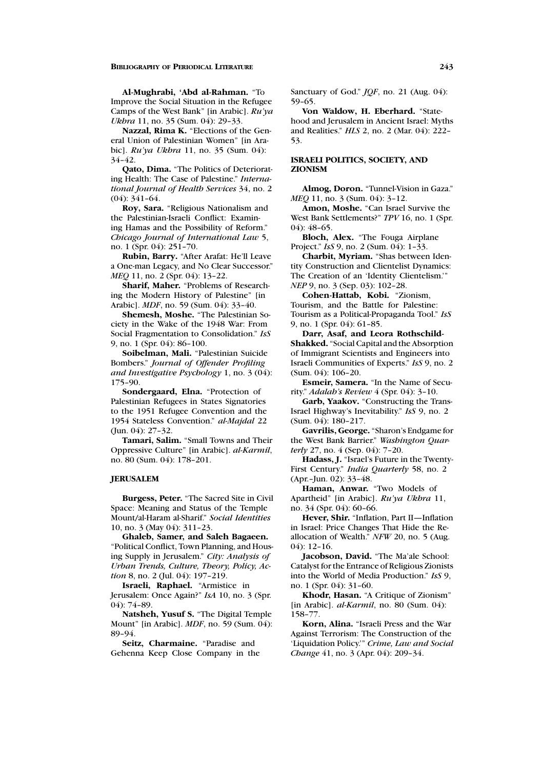**Al-Mughrabi, 'Abd al-Rahman.** "To Improve the Social Situation in the Refugee Camps of the West Bank" [in Arabic]. *Ru'ya Ukhra* 11, no. 35 (Sum. 04): 29-33.

**Nazzal, Rima K.** "Elections of the General Union of Palestinian Women" [in Arabic]. *Ru'ya Ukhra* 11, no. 35 (Sum. 04): 34–42.

**Qato, Dima.** "The Politics of Deteriorating Health: The Case of Palestine." *International Journal of Health Services* 34, no. 2 (04): 341–64.

**Roy, Sara.** "Religious Nationalism and the Palestinian-Israeli Conflict: Examining Hamas and the Possibility of Reform." *Chicago Journal of International Law* 5, no. 1 (Spr. 04): 251–70.

**Rubin, Barry.** "After Arafat: He'll Leave a One-man Legacy, and No Clear Successor." *MEQ* 11, no. 2 (Spr. 04): 13–22.

**Sharif, Maher.** "Problems of Researching the Modern History of Palestine" [in Arabic]. *MDF*, no. 59 (Sum. 04): 33–40.

**Shemesh, Moshe.** "The Palestinian Society in the Wake of the 1948 War: From Social Fragmentation to Consolidation." *IsS* 9, no. 1 (Spr. 04): 86–100.

**Soibelman, Mali.** "Palestinian Suicide Bombers." *Journal of Offender Profiling and Investigative Psychology* 1, no. 3 (04): 175–90.

**Sondergaard, Elna.** "Protection of Palestinian Refugees in States Signatories to the 1951 Refugee Convention and the 1954 Stateless Convention." *al-Majdal* 22 (Jun. 04): 27–32.

**Tamari, Salim.** "Small Towns and Their Oppressive Culture" [in Arabic]. *al-Karmil*, no. 80 (Sum. 04): 178–201.

### **JERUSALEM**

**Burgess, Peter.** "The Sacred Site in Civil Space: Meaning and Status of the Temple Mount/al-Haram al-Sharif." *Social Identities* 10, no. 3 (May 04): 311–23.

**Ghaleb, Samer, and Saleh Bagaeen.** "Political Conflict, Town Planning, and Housing Supply in Jerusalem." *City: Analysis of Urban Trends, Culture, Theory, Policy, Ac*tion 8, no. 2 (Jul. 04): 197-219.

**Israeli, Raphael.** "Armistice in Jerusalem: Once Again?" *IsA* 10, no. 3 (Spr. 04): 74–89.

**Natsheh, Yusuf S.** "The Digital Temple Mount" [in Arabic]. *MDF*, no. 59 (Sum. 04): 89–94.

**Seitz, Charmaine.** "Paradise and Gehenna Keep Close Company in the Sanctuary of God." *JQF*, no. 21 (Aug. 04): 59–65.

**Von Waldow, H. Eberhard.** "Statehood and Jerusalem in Ancient Israel: Myths and Realities." *HLS* 2, no. 2 (Mar. 04): 222– 53.

# **ISRAELI POLITICS, SOCIETY, AND ZIONISM**

**Almog, Doron.** "Tunnel-Vision in Gaza." *MEQ* 11, no. 3 (Sum. 04): 3–12.

**Amon, Moshe.** "Can Israel Survive the West Bank Settlements?" *TPV* 16, no. 1 (Spr. 04): 48–65.

**Bloch, Alex.** "The Fouga Airplane Project." *IsS* 9, no. 2 (Sum. 04): 1–33.

**Charbit, Myriam.** "Shas between Identity Construction and Clientelist Dynamics: The Creation of an 'Identity Clientelism.'" *NEP* 9, no. 3 (Sep. 03): 102-28.

**Cohen-Hattab, Kobi.** "Zionism, Tourism, and the Battle for Palestine: Tourism as a Political-Propaganda Tool." *IsS* 9, no. 1 (Spr. 04): 61–85.

**Darr, Asaf, and Leora Rothschild-Shakked.** "Social Capital and the Absorption of Immigrant Scientists and Engineers into Israeli Communities of Experts." *IsS* 9, no. 2  $(Sum. 04)$ : 106–20.

**Esmeir, Samera.** "In the Name of Security." *Adalah's Review* 4 (Spr. 04): 3–10.

**Garb, Yaakov.** "Constructing the Trans-Israel Highway's Inevitability." *IsS* 9, no. 2 (Sum. 04): 180–217.

**Gavrilis, George.** "Sharon's Endgame for the West Bank Barrier." *Washington Quarterly* 27, no. 4 (Sep. 04): 7–20.

**Hadass, J.** "Israel's Future in the Twenty-First Century." *India Quarterly* 58, no. 2 (Apr.–Jun. 02): 33–48.

**Haman, Anwar.** "Two Models of Apartheid" [in Arabic]. *Ru'ya Ukhra* 11, no. 34 (Spr. 04): 60–66.

**Hever, Shir.** "Inflation, Part II—Inflation in Israel: Price Changes That Hide the Reallocation of Wealth." *NFW* 20, no. 5 (Aug. 04): 12–16.

**Jacobson, David.** "The Ma'ale School: Catalyst for the Entrance of Religious Zionists into the World of Media Production." *IsS* 9, no. 1 (Spr. 04): 31–60.

**Khodr, Hasan.** "A Critique of Zionism" [in Arabic]. *al-Karmil*, no. 80 (Sum. 04): 158–77.

**Korn, Alina.** "Israeli Press and the War Against Terrorism: The Construction of the 'Liquidation Policy.'" *Crime, Law and Social Change* 41, no. 3 (Apr. 04): 209–34.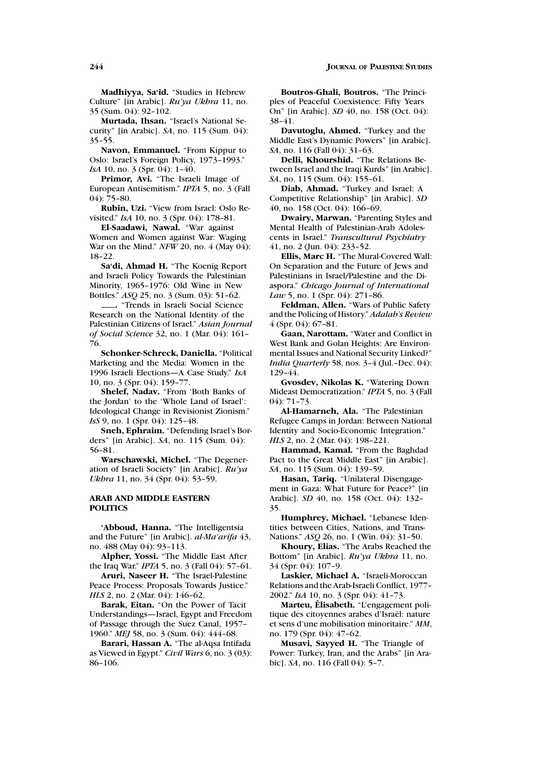**Madhiyya, Sa'id.** "Studies in Hebrew Culture" [in Arabic]. *Ru'ya Ukhra* 11, no. 35 (Sum. 04): 92–102.

**Murtada, Ihsan.** "Israel's National Security" [in Arabic]. *SA*, no. 115 (Sum. 04): 35–55.

**Navon, Emmanuel.** "From Kippur to Oslo: Israel's Foreign Policy, 1973–1993." *IsA* 10, no. 3 (Spr. 04): 1–40.

**Primor, Avi.** "The Israeli Image of European Antisemitism." *IPTA* 5, no. 3 (Fall 04): 75–80.

**Rubin, Uzi.** "View from Israel: Oslo Revisited." *IsA* 10, no. 3 (Spr. 04): 178–81.

**El-Saadawi, Nawal.** "War against Women and Women against War: Waging War on the Mind." *NFW* 20, no. 4 (May 04): 18–22.

**Sa'di, Ahmad H.** "The Koenig Report and Israeli Policy Towards the Palestinian Minority, 1965–1976: Old Wine in New Bottles." *ASQ* 25, no. 3 (Sum. 03): 51–62.

**.** "Trends in Israeli Social Science Research on the National Identity of the Palestinian Citizens of Israel." *Asian Journal of Social Science* 32, no. 1 (Mar. 04): 161– 76.

**Schonker-Schreck, Daniella.** "Political Marketing and the Media: Women in the 1996 Israeli Elections—A Case Study." *IsA* 10, no. 3 (Spr. 04): 159–77.

**Shelef, Nadav.** "From 'Both Banks of the Jordan' to the 'Whole Land of Israel': Ideological Change in Revisionist Zionism." *IsS* 9, no. 1 (Spr. 04): 125-48.

**Sneh, Ephraim.** "Defending Israel's Borders" [in Arabic]. *SA*, no. 115 (Sum. 04): 56–81.

**Warschawski, Michel.** "The Degeneration of Israeli Society" [in Arabic]. *Ru'ya Ukhra* 11, no. 34 (Spr. 04): 53-59.

### **ARAB AND MIDDLE EASTERN POLITICS**

**'Abboud, Hanna.** "The Intelligentsia and the Future" [in Arabic]. *al-Ma'arifa* 43, no. 488 (May 04): 93–113.

**Alpher, Yossi.** "The Middle East After the Iraq War." *IPTA* 5, no. 3 (Fall 04): 57–61.

**Aruri, Naseer H.** "The Israel-Palestine Peace Process: Proposals Towards Justice." *HLS* 2, no. 2 (Mar. 04): 146-62.

**Barak, Eitan.** "On the Power of Tacit Understandings—Israel, Egypt and Freedom of Passage through the Suez Canal, 1957– 1960." *MEJ* 58, no. 3 (Sum. 04): 444–68.

**Barari, Hassan A.** "The al-Aqsa Intifada as Viewed in Egypt." *Civil Wars* 6, no. 3 (03): 86–106.

**Boutros-Ghali, Boutros.** "The Principles of Peaceful Coexistence: Fifty Years On" [in Arabic]. *SD* 40, no. 158 (Oct. 04): 38–41.

**Davutoglu, Ahmed.** "Turkey and the Middle East's Dynamic Powers" [in Arabic]. *SA*, no. 116 (Fall 04): 31–63.

**Delli, Khourshid.** "The Relations Between Israel and the Iraqi Kurds" [in Arabic]. *SA*, no. 115 (Sum. 04): 155–61.

**Diab, Ahmad.** "Turkey and Israel: A Competitive Relationship" [in Arabic]. *SD* 40, no. 158 (Oct. 04): 166–69.

**Dwairy, Marwan.** "Parenting Styles and Mental Health of Palestinian-Arab Adolescents in Israel." *Transcultural Psychiatry* 41, no. 2 (Jun. 04): 233–52.

**Ellis, Marc H.** "The Mural-Covered Wall: On Separation and the Future of Jews and Palestinians in Israel/Palestine and the Diaspora." *Chicago Journal of International Law* 5, no. 1 (Spr. 04): 271-86.

**Feldman, Allen.** "Wars of Public Safety and the Policing of History." *Adalah's Review* 4 (Spr. 04): 67–81.

**Gaan, Narottam.** "Water and Conflict in West Bank and Golan Heights: Are Environmental Issues and National Security Linked?" *India Quarterly* 58, nos. 3–4 (Jul.–Dec. 04): 129–44.

**Gvosdev, Nikolas K.** "Watering Down Mideast Democratization." *IPTA* 5, no. 3 (Fall 04): 71–73.

**Al-Hamarneh, Ala.** "The Palestinian Refugee Camps in Jordan: Between National Identity and Socio-Economic Integration." *HLS* 2, no. 2 (Mar. 04): 198-221.

**Hammad, Kamal.** "From the Baghdad Pact to the Great Middle East" [in Arabic]. *SA*, no. 115 (Sum. 04): 139–59.

**Hasan, Tariq.** "Unilateral Disengagement in Gaza: What Future for Peace?" [in Arabic]. *SD* 40, no. 158 (Oct. 04): 132– 35.

**Humphrey, Michael.** "Lebanese Identities between Cities, Nations, and Trans-Nations." *ASQ* 26, no. 1 (Win. 04): 31–50.

**Khoury, Elias.** "The Arabs Reached the Bottom" [in Arabic]. *Ru'ya Ukhra* 11, no. 34 (Spr. 04): 107–9.

**Laskier, Michael A.** "Israeli-Moroccan Relations and the Arab-Israeli Conflict, 1977– 2002." *IsA* 10, no. 3 (Spr. 04): 41–73.

**Marteu, Elisabeth.** "L'engagement politique des citoyennes arabes d'Israël: nature et sens d'une mobilisation minoritaire." *MM*, no. 179 (Spr. 04): 47–62.

**Musavi, Sayyed H.** "The Triangle of Power: Turkey, Iran, and the Arabs" [in Arabic]. *SA*, no. 116 (Fall 04): 5–7.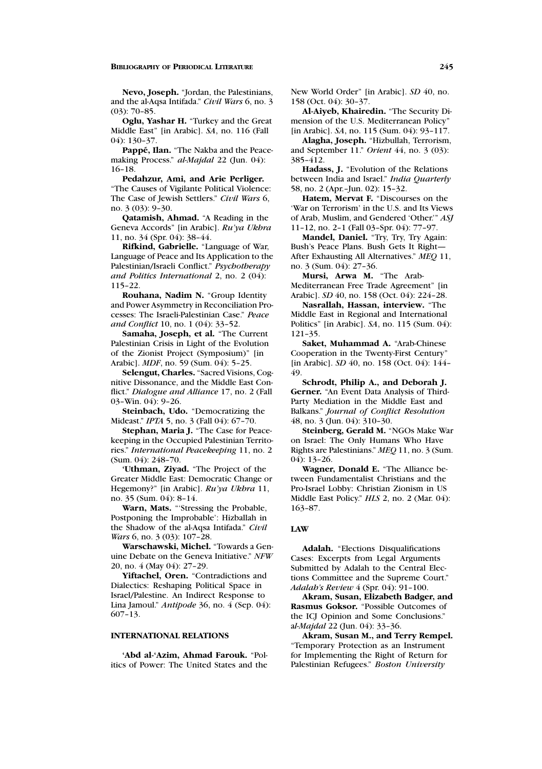**Nevo, Joseph.** "Jordan, the Palestinians, and the al-Aqsa Intifada." *Civil Wars* 6, no. 3 (03): 70–85.

**Oglu, Yashar H.** "Turkey and the Great Middle East" [in Arabic]. *SA*, no. 116 (Fall 04): 130–37.

Pappé, Ilan. "The Nakba and the Peacemaking Process." *al-Majdal* 22 (Jun. 04): 16–18.

**Pedahzur, Ami, and Arie Perliger.** "The Causes of Vigilante Political Violence: The Case of Jewish Settlers." *Civil Wars* 6, no. 3 (03): 9–30.

**Qatamish, Ahmad.** "A Reading in the Geneva Accords" [in Arabic]. *Ru'ya Ukhra* 11, no. 34 (Spr. 04): 38–44.

**Rifkind, Gabrielle.** "Language of War, Language of Peace and Its Application to the Palestinian/Israeli Conflict." *Psychotherapy and Politics International* 2, no. 2 (04): 115–22.

**Rouhana, Nadim N.** "Group Identity and Power Asymmetry in Reconciliation Processes: The Israeli-Palestinian Case." *Peace and Conflict* 10, no. 1 (04): 33–52.

**Samaha, Joseph, et al.** "The Current Palestinian Crisis in Light of the Evolution of the Zionist Project (Symposium)" [in Arabic]. *MDF*, no. 59 (Sum. 04): 5–25.

**Selengut, Charles.** "Sacred Visions, Cognitive Dissonance, and the Middle East Conflict." *Dialogue and Alliance* 17, no. 2 (Fall 03–Win. 04): 9–26.

**Steinbach, Udo.** "Democratizing the Mideast." *IPTA* 5, no. 3 (Fall 04): 67–70.

**Stephan, Maria J.** "The Case for Peacekeeping in the Occupied Palestinian Territories." *International Peacekeeping* 11, no. 2 (Sum. 04): 248–70.

**'Uthman, Ziyad.** "The Project of the Greater Middle East: Democratic Change or Hegemony?" [in Arabic]. *Ru'ya Ukhra* 11, no. 35 (Sum. 04): 8–14.

**Warn, Mats.** "'Stressing the Probable, Postponing the Improbable': Hizballah in the Shadow of the al-Aqsa Intifada." *Civil Wars* 6, no. 3 (03): 107-28.

**Warschawski, Michel.** "Towards a Genuine Debate on the Geneva Initiative." *NFW* 20, no. 4 (May 04): 27–29.

**Yiftachel, Oren.** "Contradictions and Dialectics: Reshaping Political Space in Israel/Palestine. An Indirect Response to Lina Jamoul." *Antipode* 36, no. 4 (Sep. 04): 607–13.

# **INTERNATIONAL RELATIONS**

**'Abd al-'Azim, Ahmad Farouk.** "Politics of Power: The United States and the New World Order" [in Arabic]. *SD* 40, no. 158 (Oct. 04): 30–37.

**Al-Aiyeb, Khairedin.** "The Security Dimension of the U.S. Mediterranean Policy" [in Arabic]. *SA*, no. 115 (Sum. 04): 93–117.

**Alagha, Joseph.** "Hizbullah, Terrorism, and September 11." *Orient* 44, no. 3 (03): 385–412.

**Hadass, J.** "Evolution of the Relations between India and Israel." *India Quarterly* 58, no. 2 (Apr.–Jun. 02): 15–32.

**Hatem, Mervat F.** "Discourses on the 'War on Terrorism' in the U.S. and Its Views of Arab, Muslim, and Gendered 'Other.'" *ASJ* 11–12, no. 2–1 (Fall 03–Spr. 04): 77–97.

**Mandel, Daniel.** "Try, Try, Try Again: Bush's Peace Plans. Bush Gets It Right— After Exhausting All Alternatives." *MEQ* 11, no. 3 (Sum. 04): 27–36.

**Mursi, Arwa M.** "The Arab-Mediterranean Free Trade Agreement" [in Arabic]. *SD* 40, no. 158 (Oct. 04): 224–28.

**Nasrallah, Hassan, interview.** "The Middle East in Regional and International Politics" [in Arabic]. *SA*, no. 115 (Sum. 04): 121–35.

**Saket, Muhammad A.** "Arab-Chinese Cooperation in the Twenty-First Century" [in Arabic]. *SD* 40, no. 158 (Oct. 04): 144– 49.

**Schrodt, Philip A., and Deborah J. Gerner.** "An Event Data Analysis of Third-Party Mediation in the Middle East and Balkans." *Journal of Conflict Resolution* 48, no. 3 (Jun. 04): 310–30.

**Steinberg, Gerald M.** "NGOs Make War on Israel: The Only Humans Who Have Rights are Palestinians." *MEQ* 11, no. 3 (Sum. 04): 13–26.

**Wagner, Donald E.** "The Alliance between Fundamentalist Christians and the Pro-Israel Lobby: Christian Zionism in US Middle East Policy." *HLS* 2, no. 2 (Mar. 04): 163–87.

#### **LAW**

**Adalah.** "Elections Disqualifications Cases: Excerpts from Legal Arguments Submitted by Adalah to the Central Elections Committee and the Supreme Court." *Adalah's Review* 4 (Spr. 04): 91–100.

**Akram, Susan, Elizabeth Badger, and Rasmus Goksor.** "Possible Outcomes of the ICJ Opinion and Some Conclusions." a*l-Majdal* 22 (Jun. 04): 33–36.

**Akram, Susan M., and Terry Rempel.** "Temporary Protection as an Instrument for Implementing the Right of Return for Palestinian Refugees." *Boston University*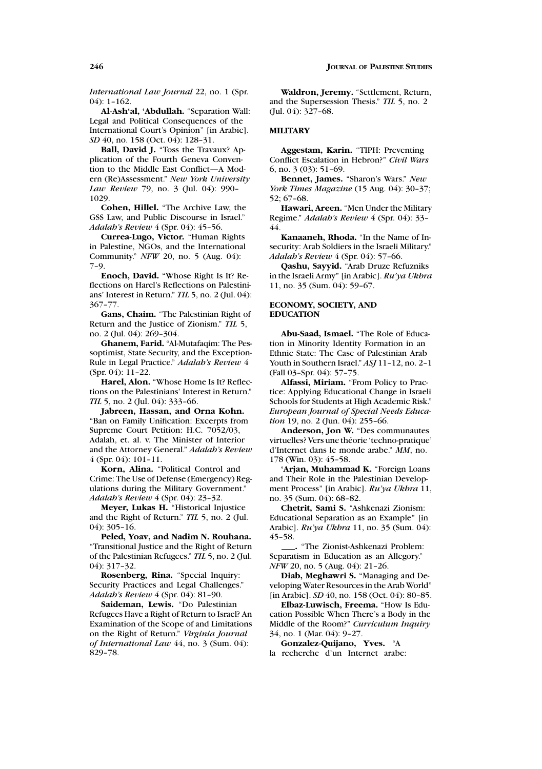*International Law Journal* 22, no. 1 (Spr. 04): 1–162.

**Al-Ash'al, 'Abdullah.** "Separation Wall: Legal and Political Consequences of the International Court's Opinion" [in Arabic]. *SD* 40, no. 158 (Oct. 04): 128–31.

**Ball, David J.** "Toss the Travaux? Application of the Fourth Geneva Convention to the Middle East Conflict—A Modern (Re)Assessment." *New York University Law Review* 79, no. 3 (Jul. 04): 990– 1029.

**Cohen, Hillel.** "The Archive Law, the GSS Law, and Public Discourse in Israel." *Adalah's Review* 4 (Spr. 04): 45–56.

**Currea-Lugo, Victor.** "Human Rights in Palestine, NGOs, and the International Community." *NFW* 20, no. 5 (Aug. 04): 7–9.

**Enoch, David.** "Whose Right Is It? Reflections on Harel's Reflections on Palestinians' Interest in Return." *TIL* 5, no. 2 (Jul. 04): 367–77.

**Gans, Chaim.** "The Palestinian Right of Return and the Justice of Zionism." *TIL* 5, no. 2 (Jul. 04): 269–304.

**Ghanem, Farid.** "Al-Mutafaqim: The Pessoptimist, State Security, and the Exception-Rule in Legal Practice." *Adalah's Review* 4 (Spr. 04): 11–22.

**Harel, Alon.** "Whose Home Is It? Reflections on the Palestinians' Interest in Return." *TIL* 5, no. 2 (Jul. 04): 333-66.

**Jabreen, Hassan, and Orna Kohn.** "Ban on Family Unification: Excerpts from Supreme Court Petition: H.C. 7052/03, Adalah, et. al. v. The Minister of Interior and the Attorney General." *Adalah's Review* 4 (Spr. 04): 101–11.

**Korn, Alina.** "Political Control and Crime: The Use of Defense (Emergency) Regulations during the Military Government." *Adalah's Review* 4 (Spr. 04): 23–32.

**Meyer, Lukas H.** "Historical Injustice and the Right of Return." *TIL* 5, no. 2 (Jul. 04): 305–16.

**Peled, Yoav, and Nadim N. Rouhana.** "Transitional Justice and the Right of Return of the Palestinian Refugees." *TIL* 5, no. 2 (Jul. 04): 317–32.

**Rosenberg, Rina.** "Special Inquiry: Security Practices and Legal Challenges." *Adalah's Review* 4 (Spr. 04): 81–90.

**Saideman, Lewis.** "Do Palestinian Refugees Have a Right of Return to Israel? An Examination of the Scope of and Limitations on the Right of Return." *Virginia Journal of International Law* 44, no. 3 (Sum. 04): 829–78.

**Waldron, Jeremy.** "Settlement, Return, and the Supersession Thesis." *TIL* 5, no. 2 (Jul. 04): 327–68.

#### **MILITARY**

**Aggestam, Karin.** "TIPH: Preventing Conflict Escalation in Hebron?" *Civil Wars* 6, no. 3 (03): 51–69.

**Bennet, James.** "Sharon's Wars." *New York Times Magazine* (15 Aug. 04): 30–37; 52; 67–68.

**Hawari, Areen.** "Men Under the Military Regime." *Adalah's Review* 4 (Spr. 04): 33– 44.

**Kanaaneh, Rhoda.** "In the Name of Insecurity: Arab Soldiers in the Israeli Military." *Adalah's Review* 4 (Spr. 04): 57–66.

**Qashu, Sayyid.** "Arab Druze Refuzniks in the Israeli Army" [in Arabic]. *Ru'ya Ukhra* 11, no. 35 (Sum. 04): 59–67.

### **ECONOMY, SOCIETY, AND EDUCATION**

**Abu-Saad, Ismael.** "The Role of Education in Minority Identity Formation in an Ethnic State: The Case of Palestinian Arab Youth in Southern Israel." *ASJ* 11–12, no. 2–1 (Fall 03–Spr. 04): 57–75.

**Alfassi, Miriam.** "From Policy to Practice: Applying Educational Change in Israeli Schools for Students at High Academic Risk." *European Journal of Special Needs Education* 19, no. 2 (Jun. 04): 255-66.

**Anderson, Jon W.** "Des communautes virtuelles? Vers une théorie 'techno-pratique' d'Internet dans le monde arabe." *MM*, no. 178 (Win. 03): 45–58.

**'Arjan, Muhammad K.** "Foreign Loans and Their Role in the Palestinian Development Process" [in Arabic]. *Ru'ya Ukhra* 11, no. 35 (Sum. 04): 68–82.

**Chetrit, Sami S.** "Ashkenazi Zionism: Educational Separation as an Example" [in Arabic]. *Ru'ya Ukhra* 11, no. 35 (Sum. 04): 45–58.

**.** "The Zionist-Ashkenazi Problem: Separatism in Education as an Allegory." *NFW* 20, no. 5 (Aug. 04): 21–26.

**Diab, Meghawri S.** "Managing and Developing Water Resources in the Arab World" [in Arabic]. *SD* 40, no. 158 (Oct. 04): 80–85.

**Elbaz-Luwisch, Freema.** "How Is Education Possible When There's a Body in the Middle of the Room?" *Curriculum Inquiry* 34, no. 1 (Mar. 04): 9–27.

**Gonzalez-Quijano, Yves.** "A

la recherche d'un Internet arabe: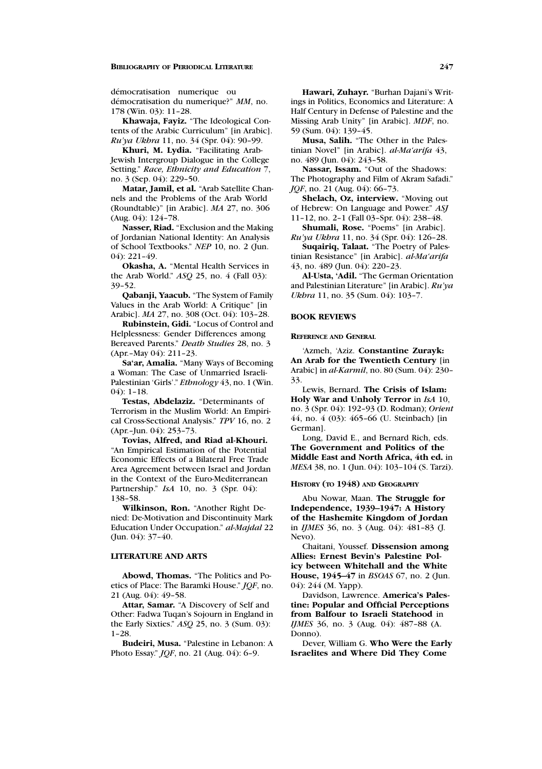démocratisation numerique ou démocratisation du numerique?" MM, no. 178 (Win. 03): 11–28.

**Khawaja, Fayiz.** "The Ideological Contents of the Arabic Curriculum" [in Arabic]. *Ru'ya Ukhra* 11, no. 34 (Spr. 04): 90–99.

**Khuri, M. Lydia.** "Facilitating Arab-Jewish Intergroup Dialogue in the College Setting." *Race, Ethnicity and Education* 7, no. 3 (Sep. 04): 229–50.

**Matar, Jamil, et al.** "Arab Satellite Channels and the Problems of the Arab World (Roundtable)" [in Arabic]. *MA* 27, no. 306 (Aug. 04): 124–78.

**Nasser, Riad.** "Exclusion and the Making of Jordanian National Identity: An Analysis of School Textbooks." *NEP* 10, no. 2 (Jun. 04): 221–49.

**Okasha, A.** "Mental Health Services in the Arab World." *ASQ* 25, no. 4 (Fall 03): 39–52.

**Qabanji, Yaacub.** "The System of Family Values in the Arab World: A Critique" [in Arabic]. *MA* 27, no. 308 (Oct. 04): 103–28.

**Rubinstein, Gidi.** "Locus of Control and Helplessness: Gender Differences among Bereaved Parents." *Death Studies* 28, no. 3 (Apr.–May 04): 211–23.

**Sa'ar, Amalia.** "Many Ways of Becoming a Woman: The Case of Unmarried Israeli-Palestinian 'Girls'." *Ethnology* 43, no. 1 (Win.  $04$ : 1-18.

**Testas, Abdelaziz.** "Determinants of Terrorism in the Muslim World: An Empirical Cross-Sectional Analysis." *TPV* 16, no. 2 (Apr.–Jun. 04): 253–73.

**Tovias, Alfred, and Riad al-Khouri.** "An Empirical Estimation of the Potential Economic Effects of a Bilateral Free Trade Area Agreement between Israel and Jordan in the Context of the Euro-Mediterranean Partnership." *IsA* 10, no. 3 (Spr. 04): 138–58.

**Wilkinson, Ron.** "Another Right Denied: De-Motivation and Discontinuity Mark Education Under Occupation." *al-Majdal* 22 (Jun. 04): 37–40.

# **LITERATURE AND ARTS**

**Abowd, Thomas.** "The Politics and Poetics of Place: The Baramki House." *JQF*, no. 21 (Aug. 04): 49–58.

**Attar, Samar.** "A Discovery of Self and Other: Fadwa Tuqan's Sojourn in England in the Early Sixties." *ASQ* 25, no. 3 (Sum. 03): 1–28.

**Budeiri, Musa.** "Palestine in Lebanon: A Photo Essay." *JQF*, no. 21 (Aug. 04): 6–9.

**Hawari, Zuhayr.** "Burhan Dajani's Writings in Politics, Economics and Literature: A Half Century in Defense of Palestine and the Missing Arab Unity" [in Arabic]. *MDF*, no. 59 (Sum. 04): 139–45.

**Musa, Salih.** "The Other in the Palestinian Novel" [in Arabic]. *al-Ma'arifa* 43, no. 489 (Jun. 04): 243–58.

**Nassar, Issam.** "Out of the Shadows: The Photography and Film of Akram Safadi." *JQF*, no. 21 (Aug. 04): 66-73.

**Shelach, Oz, interview.** "Moving out of Hebrew: On Language and Power." *ASJ* 11–12, no. 2–1 (Fall 03–Spr. 04): 238–48.

**Shumali, Rose.** "Poems" [in Arabic].

*Ru'ya Ukhra* 11, no. 34 (Spr. 04): 126–28. **Suqairiq, Talaat.** "The Poetry of Palestinian Resistance" [in Arabic]. *al-Ma'arifa*

43, no. 489 (Jun. 04): 220–23. **Al-Usta, 'Adil.** "The German Orientation

and Palestinian Literature" [in Arabic]. *Ru'ya Ukhra* 11, no. 35 (Sum. 04): 103-7.

# **BOOK REVIEWS**

# **REFERENCE AND GENERAL**

'Azmeh, 'Aziz. **Constantine Zurayk: An Arab for the Twentieth Century** [in Arabic] in *al-Karmil*, no. 80 (Sum. 04): 230– 33.

Lewis, Bernard. **The Crisis of Islam: Holy War and Unholy Terror** in *IsA* 10, no. 3 (Spr. 04): 192–93 (D. Rodman); *Orient* 44, no. 4 (03): 465–66 (U. Steinbach) [in German].

Long, David E., and Bernard Rich, eds. **The Government and Politics of the Middle East and North Africa, 4th ed.** in *MESA* 38, no. 1 (Jun. 04): 103–104 (S. Tarzi).

#### **HISTORY (TO 1948) AND GEOGRAPHY**

Abu Nowar, Maan. **The Struggle for Independence, 1939–1947: A History of the Hashemite Kingdom of Jordan** in *IJMES* 36, no. 3 (Aug. 04): 481–83 (J. Nevo).

Chaitani, Youssef. **Dissension among Allies: Ernest Bevin's Palestine Policy between Whitehall and the White House, 1945–47** in *BSOAS* 67, no. 2 (Jun. 04): 244 (M. Yapp).

Davidson, Lawrence. **America's Palestine: Popular and Official Perceptions from Balfour to Israeli Statehood** in *IJMES* 36, no. 3 (Aug. 04): 487–88 (A. Donno).

Dever, William G. **Who Were the Early Israelites and Where Did They Come**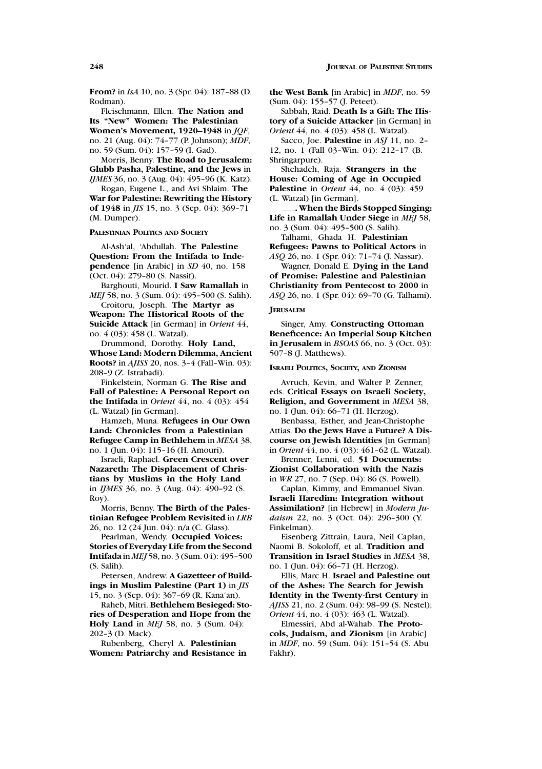**From?** in *IsA* 10, no. 3 (Spr. 04): 187–88 (D. Rodman).

Fleischmann, Ellen. **The Nation and Its "New" Women: The Palestinian Women's Movement, 1920–1948** in *JQF*, no. 21 (Aug. 04): 74–77 (P. Johnson); *MDF*, no. 59 (Sum. 04): 157–59 (I. Gad).

Morris, Benny. **The Road to Jerusalem: Glubb Pasha, Palestine, and the Jews** in *IJMES* 36, no. 3 (Aug. 04): 495-96 (K. Katz).

Rogan, Eugene L., and Avi Shlaim. **The War for Palestine: Rewriting the History of 1948** in *JIS* 15, no. 3 (Sep. 04): 369–71 (M. Dumper).

**PALESTINIAN POLITICS AND SOCIETY**

Al-Ash'al, 'Abdullah. **The Palestine Question: From the Intifada to Independence** [in Arabic] in *SD* 40, no. 158 (Oct. 04): 279–80 (S. Nassif).

Barghouti, Mourid. **I Saw Ramallah** in *MEJ* 58, no. 3 (Sum. 04): 495-500 (S. Salih).

Croitoru, Joseph. **The Martyr as Weapon: The Historical Roots of the Suicide Attack** [in German] in *Orient* 44, no. 4 (03): 458 (L. Watzal).

Drummond, Dorothy. **Holy Land, Whose Land: Modern Dilemma, Ancient Roots?** in *AJISS* 20, nos. 3–4 (Fall–Win. 03): 208–9 (Z. Istrabadi).

Finkelstein, Norman G. **The Rise and Fall of Palestine: A Personal Report on the Intifada** in *Orient* 44, no. 4 (03): 454 (L. Watzal) [in German].

Hamzeh, Muna. **Refugees in Our Own Land: Chronicles from a Palestinian Refugee Camp in Bethlehem** in *MESA* 38, no. 1 (Jun. 04): 115–16 (H. Amouri).

Israeli, Raphael. **Green Crescent over Nazareth: The Displacement of Christians by Muslims in the Holy Land** in *IJMES* 36, no. 3 (Aug. 04): 490–92 (S. Roy).

Morris, Benny. **The Birth of the Palestinian Refugee Problem Revisited** in *LRB* 26, no. 12 (24 Jun. 04): n/a (C. Glass).

Pearlman, Wendy. **Occupied Voices: Stories of Everyday Life from the Second Intifada** in *MEJ* 58, no. 3 (Sum. 04): 495–500 (S. Salih).

Petersen, Andrew. **A Gazetteer of Buildings in Muslim Palestine (Part 1)** in *JIS* 15, no. 3 (Sep. 04): 367–69 (R. Kana'an).

Raheb, Mitri. **Bethlehem Besieged: Stories of Desperation and Hope from the Holy Land** in *MEJ* 58, no. 3 (Sum. 04): 202–3 (D. Mack).

Rubenberg, Cheryl A. **Palestinian Women: Patriarchy and Resistance in** **the West Bank** [in Arabic] in *MDF*, no. 59 (Sum. 04): 155–57 (J. Peteet).

Sabbah, Raid. **Death Is a Gift: The History of a Suicide Attacker** [in German] in *Orient* 44, no. 4 (03): 458 (L. Watzal).

Sacco, Joe. **Palestine** in *ASJ* 11, no. 2– 12, no. 1 (Fall 03–Win. 04): 212–17 (B. Shringarpure).

Shehadeh, Raja. **Strangers in the House: Coming of Age in Occupied Palestine** in *Orient* 44, no. 4 (03): 459 (L. Watzal) [in German].

**. When the Birds Stopped Singing: Life in Ramallah Under Siege** in *MEJ* 58, no. 3 (Sum. 04): 495–500 (S. Salih).

Talhami, Ghada H. **Palestinian Refugees: Pawns to Political Actors** in *ASQ* 26, no. 1 (Spr. 04): 71–74 (J. Nassar).

Wagner, Donald E. **Dying in the Land of Promise: Palestine and Palestinian Christianity from Pentecost to 2000** in *ASQ* 26, no. 1 (Spr. 04): 69–70 (G. Talhami).

### **JERUSALEM**

Singer, Amy. **Constructing Ottoman Beneficence: An Imperial Soup Kitchen in Jerusalem** in *BSOAS* 66, no. 3 (Oct. 03): 507–8 (J. Matthews).

**ISRAELI POLITICS, SOCIETY, AND ZIONISM**

Avruch, Kevin, and Walter P. Zenner, eds. **Critical Essays on Israeli Society, Religion, and Government** in *MESA* 38, no. 1 (Jun. 04): 66–71 (H. Herzog).

Benbassa, Esther, and Jean-Christophe Attias. **Do the Jews Have a Future? A Discourse on Jewish Identities** [in German] in *Orient* 44, no. 4 (03): 461–62 (L. Watzal).

Brenner, Lenni, ed. **51 Documents: Zionist Collaboration with the Nazis**

in *WR* 27, no. 7 (Sep. 04): 86 (S. Powell). Caplan, Kimmy, and Emmanuel Sivan.

**Israeli Haredim: Integration without Assimilation?** [in Hebrew] in *Modern Judaism* 22, no. 3 (Oct. 04): 296–300 (Y. Finkelman).

Eisenberg Zittrain, Laura, Neil Caplan, Naomi B. Sokoloff, et al. **Tradition and Transition in Israel Studies** in *MESA* 38, no. 1 (Jun. 04): 66–71 (H. Herzog).

Ellis, Marc H. **Israel and Palestine out of the Ashes: The Search for Jewish Identity in the Twenty-first Century** in *AJISS* 21, no. 2 (Sum. 04): 98–99 (S. Nestel); *Orient* 44, no. 4 (03): 463 (L. Watzal).

Elmessiri, Abd al-Wahab. **The Protocols, Judaism, and Zionism** [in Arabic] in *MDF*, no. 59 (Sum. 04): 151–54 (S. Abu Fakhr).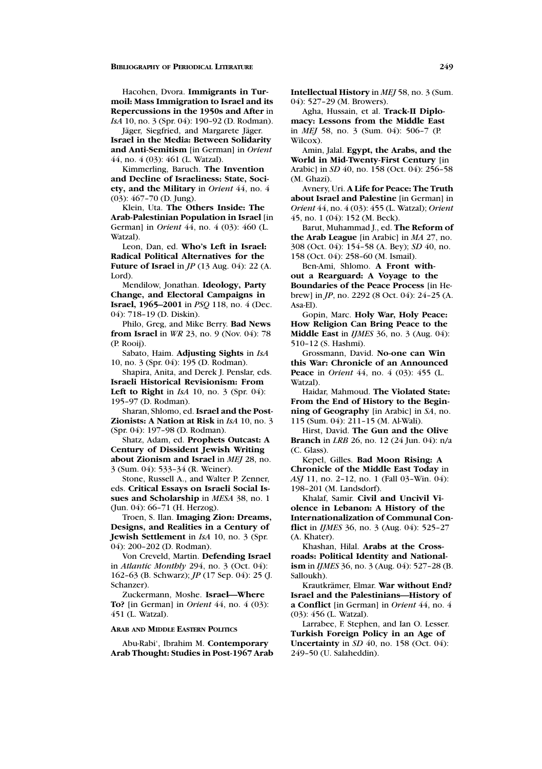Hacohen, Dvora. **Immigrants in Turmoil: Mass Immigration to Israel and its Repercussions in the 1950s and After** in *IsA* 10, no. 3 (Spr. 04): 190–92 (D. Rodman).

Jäger, Siegfried, and Margarete Jäger. **Israel in the Media: Between Solidarity and Anti-Semitism** [in German] in *Orient* 44, no. 4 (03): 461 (L. Watzal).

Kimmerling, Baruch. **The Invention and Decline of Israeliness: State, Society, and the Military** in *Orient* 44, no. 4 (03): 467–70 (D. Jung).

Klein, Uta. **The Others Inside: The Arab-Palestinian Population in Israel** [in German] in *Orient* 44, no. 4 (03): 460 (L. Watzal).

Leon, Dan, ed. **Who's Left in Israel: Radical Political Alternatives for the Future of Israel** in *JP* (13 Aug. 04): 22 (A. Lord).

Mendilow, Jonathan. **Ideology, Party Change, and Electoral Campaigns in Israel, 1965–2001** in *PSQ* 118, no. 4 (Dec. 04): 718–19 (D. Diskin).

Philo, Greg, and Mike Berry. **Bad News from Israel** in *WR* 23, no. 9 (Nov. 04): 78 (P. Rooij).

Sabato, Haim. **Adjusting Sights** in *IsA* 10, no. 3 (Spr. 04): 195 (D. Rodman).

Shapira, Anita, and Derek J. Penslar, eds. **Israeli Historical Revisionism: From Left to Right** in *IsA* 10, no. 3 (Spr. 04):

195–97 (D. Rodman).

Sharan, Shlomo, ed. **Israel and the Post-Zionists: A Nation at Risk** in *IsA* 10, no. 3 (Spr. 04): 197–98 (D. Rodman).

Shatz, Adam, ed. **Prophets Outcast: A Century of Dissident Jewish Writing about Zionism and Israel** in *MEJ* 28, no. 3 (Sum. 04): 533–34 (R. Weiner).

Stone, Russell A., and Walter P. Zenner, eds. **Critical Essays on Israeli Social Issues and Scholarship** in *MESA* 38, no. 1 (Jun. 04): 66–71 (H. Herzog).

Troen, S. Ilan. **Imaging Zion: Dreams, Designs, and Realities in a Century of Jewish Settlement** in *IsA* 10, no. 3 (Spr. 04): 200–202 (D. Rodman).

Von Creveld, Martin. **Defending Israel** in *Atlantic Monthly* 294, no. 3 (Oct. 04): 162–63 (B. Schwarz); *JP* (17 Sep. 04): 25 (J. Schanzer).

Zuckermann, Moshe. **Israel—Where To?** [in German] in *Orient* 44, no. 4 (03): 451 (L. Watzal).

#### **ARAB AND MIDDLE EASTERN POLITICS**

Abu-Rabi', Ibrahim M. **Contemporary Arab Thought: Studies in Post-1967 Arab** **Intellectual History** in *MEJ* 58, no. 3 (Sum. 04): 527–29 (M. Browers).

Agha, Hussain, et al. **Track-II Diplomacy: Lessons from the Middle East** in *MEJ* 58, no. 3 (Sum. 04): 506–7 (P. Wilcox).

Amin, Jalal. **Egypt, the Arabs, and the World in Mid-Twenty-First Century** [in Arabic] in *SD* 40, no. 158 (Oct. 04): 256–58 (M. Ghazi).

Avnery, Uri. **A Life for Peace: The Truth about Israel and Palestine** [in German] in *Orient* 44, no. 4 (03): 455 (L. Watzal); *Orient* 45, no. 1 (04): 152 (M. Beck).

Barut, Muhammad J., ed. **The Reform of the Arab League** [in Arabic] in *MA* 27, no. 308 (Oct. 04): 154–58 (A. Bey); *SD* 40, no. 158 (Oct. 04): 258–60 (M. Ismail).

Ben-Ami, Shlomo. **A Front without a Rearguard: A Voyage to the Boundaries of the Peace Process** [in Hebrew] in *JP*, no. 2292 (8 Oct. 04): 24–25 (A. Asa-El).

Gopin, Marc. **Holy War, Holy Peace: How Religion Can Bring Peace to the Middle East** in *IJMES* 36, no. 3 (Aug. 04): 510–12 (S. Hashmi).

Grossmann, David. **No-one can Win this War: Chronicle of an Announced Peace** in *Orient* 44, no. 4 (03): 455 (L. Watzal).

Haidar, Mahmoud. **The Violated State: From the End of History to the Beginning of Geography** [in Arabic] in *SA*, no. 115 (Sum. 04): 211–15 (M. Al-Wali).

Hirst, David. **The Gun and the Olive Branch** in *LRB* 26, no. 12 (24 Jun. 04): n/a (C. Glass).

Kepel, Gilles. **Bad Moon Rising: A Chronicle of the Middle East Today** in *ASJ* 11, no. 2–12, no. 1 (Fall 03–Win. 04): 198–201 (M. Landsdorf).

Khalaf, Samir. **Civil and Uncivil Violence in Lebanon: A History of the Internationalization of Communal Conflict** in *IJMES* 36, no. 3 (Aug. 04): 525–27 (A. Khater).

Khashan, Hilal. **Arabs at the Crossroads: Political Identity and Nationalism** in *IJMES* 36, no. 3 (Aug. 04): 527–28 (B. Salloukh).

Krautkr¨amer, Elmar. **War without End? Israel and the Palestinians—History of a Conflict** [in German] in *Orient* 44, no. 4 (03): 456 (L. Watzal).

Larrabee, F. Stephen, and Ian O. Lesser. **Turkish Foreign Policy in an Age of Uncertainty** in *SD* 40, no. 158 (Oct. 04): 249–50 (U. Salaheddin).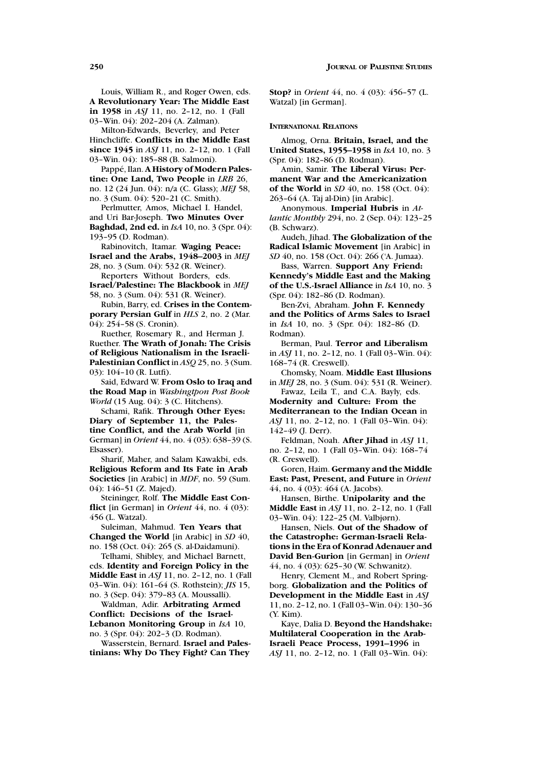Louis, William R., and Roger Owen, eds. **A Revolutionary Year: The Middle East in 1958** in *ASJ* 11, no. 2–12, no. 1 (Fall 03–Win. 04): 202–204 (A. Zalman).

Milton-Edwards, Beverley, and Peter Hinchcliffe. **Conflicts in the Middle East since 1945** in *ASJ* 11, no. 2–12, no. 1 (Fall 03–Win. 04): 185–88 (B. Salmoni).

Pappé, Ilan. A History of Modern Pales**tine: One Land, Two People** in *LRB* 26, no. 12 (24 Jun. 04): n/a (C. Glass); *MEJ* 58, no. 3 (Sum. 04): 520–21 (C. Smith).

Perlmutter, Amos, Michael I. Handel, and Uri Bar-Joseph. **Two Minutes Over Baghdad, 2nd ed.** in *IsA* 10, no. 3 (Spr. 04): 193–95 (D. Rodman).

Rabinovitch, Itamar. **Waging Peace: Israel and the Arabs, 1948–2003** in *MEJ* 28, no. 3 (Sum. 04): 532 (R. Weiner).

Reporters Without Borders, eds. **Israel/Palestine: The Blackbook** in *MEJ*

58, no. 3 (Sum. 04): 531 (R. Weiner). Rubin, Barry, ed. **Crises in the Contem-**

**porary Persian Gulf** in *HLS* 2, no. 2 (Mar. 04): 254–58 (S. Cronin).

Ruether, Rosemary R., and Herman J. Ruether. **The Wrath of Jonah: The Crisis of Religious Nationalism in the Israeli-Palestinian Conflict** in *ASQ* 25, no. 3 (Sum. 03): 104–10 (R. Lutfi).

Said, Edward W. **From Oslo to Iraq and the Road Map** in *Washingtpon Post Book World* (15 Aug. 04): 3 (C. Hitchens).

Schami, Rafik. **Through Other Eyes: Diary of September 11, the Palestine Conflict, and the Arab World** [in German] in *Orient* 44, no. 4 (03): 638–39 (S. Elsasser).

Sharif, Maher, and Salam Kawakbi, eds. **Religious Reform and Its Fate in Arab Societies** [in Arabic] in *MDF*, no. 59 (Sum. 04): 146–51 (Z. Majed).

Steininger, Rolf. **The Middle East Conflict** [in German] in *Orient* 44, no. 4 (03): 456 (L. Watzal).

Suleiman, Mahmud. **Ten Years that Changed the World** [in Arabic] in *SD* 40, no. 158 (Oct. 04): 265 (S. al-Daidamuni).

Telhami, Shibley, and Michael Barnett, eds. **Identity and Foreign Policy in the Middle East** in *ASJ* 11, no. 2–12, no. 1 (Fall 03–Win. 04): 161–64 (S. Rothstein); *JIS* 15, no. 3 (Sep. 04): 379–83 (A. Moussalli).

Waldman, Adir. **Arbitrating Armed Conflict: Decisions of the Israel-Lebanon Monitoring Group** in *IsA* 10, no. 3 (Spr. 04): 202–3 (D. Rodman).

Wasserstein, Bernard. **Israel and Palestinians: Why Do They Fight? Can They** **Stop?** in *Orient* 44, no. 4 (03): 456–57 (L. Watzal) [in German].

#### **INTERNATIONAL RELATIONS**

Almog, Orna. **Britain, Israel, and the United States, 1955–1958** in *IsA* 10, no. 3 (Spr. 04): 182–86 (D. Rodman).

Amin, Samir. **The Liberal Virus: Permanent War and the Americanization of the World** in *SD* 40, no. 158 (Oct. 04): 263–64 (A. Taj al-Din) [in Arabic].

Anonymous. **Imperial Hubris** in *Atlantic Monthly* 294, no. 2 (Sep. 04): 123–25 (B. Schwarz).

Audeh, Jihad. **The Globalization of the Radical Islamic Movement** [in Arabic] in *SD* 40, no. 158 (Oct. 04): 266 ('A. Jumaa).

Bass, Warren. **Support Any Friend: Kennedy's Middle East and the Making of the U.S.-Israel Alliance** in *IsA* 10, no. 3

(Spr. 04): 182–86 (D. Rodman).

Ben-Zvi, Abraham. **John F. Kennedy and the Politics of Arms Sales to Israel** in *IsA* 10, no. 3 (Spr. 04): 182–86 (D. Rodman).

Berman, Paul. **Terror and Liberalism** in *ASJ* 11, no. 2–12, no. 1 (Fall 03–Win. 04): 168–74 (R. Creswell).

Chomsky, Noam. **Middle East Illusions** in *MEJ* 28, no. 3 (Sum. 04): 531 (R. Weiner). Fawaz, Leila T., and C.A. Bayly, eds.

**Modernity and Culture: From the Mediterranean to the Indian Ocean** in *ASJ* 11, no. 2–12, no. 1 (Fall 03–Win. 04): 142–49 (J. Derr).

Feldman, Noah. **After Jihad** in *ASJ* 11, no. 2–12, no. 1 (Fall 03–Win. 04): 168–74 (R. Creswell).

Goren, Haim. **Germany and the Middle East: Past, Present, and Future** in *Orient* 44, no. 4 (03): 464 (A. Jacobs).

Hansen, Birthe. **Unipolarity and the Middle East** in *ASJ* 11, no. 2–12, no. 1 (Fall 03–Win. 04): 122–25 (M. Valbjørn).

Hansen, Niels. **Out of the Shadow of the Catastrophe: German-Israeli Relations in the Era of Konrad Adenauer and David Ben-Gurion** [in German] in *Orient* 44, no. 4 (03): 625–30 (W. Schwanitz).

Henry, Clement M., and Robert Springborg. **Globalization and the Politics of Development in the Middle East** in *ASJ* 11, no. 2–12, no. 1 (Fall 03–Win. 04): 130–36 (Y. Kim).

Kaye, Dalia D. **Beyond the Handshake: Multilateral Cooperation in the Arab-Israeli Peace Process, 1991–1996** in *ASJ* 11, no. 2–12, no. 1 (Fall 03–Win. 04):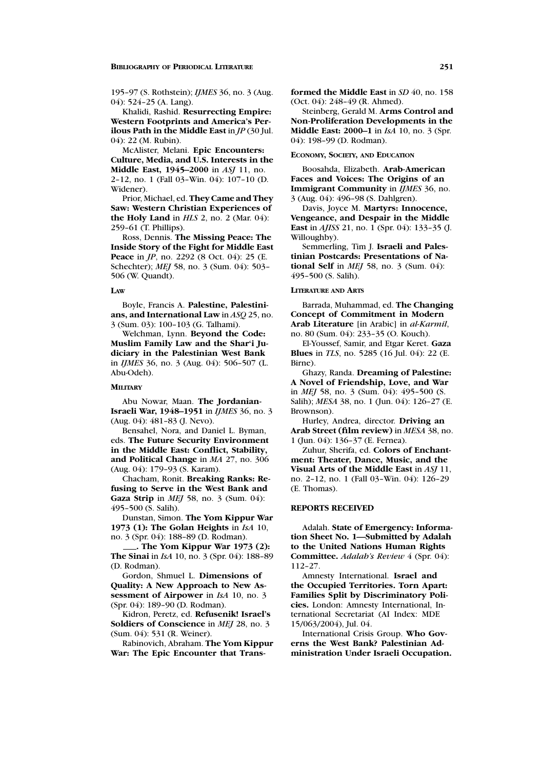Khalidi, Rashid. **Resurrecting Empire: Western Footprints and America's Perilous Path in the Middle East** in *JP* (30 Jul. 04): 22 (M. Rubin).

McAlister, Melani. **Epic Encounters: Culture, Media, and U.S. Interests in the Middle East, 1945–2000** in *ASJ* 11, no. 2–12, no. 1 (Fall 03–Win. 04): 107–10 (D. Widener).

Prior, Michael, ed. **They Came and They Saw: Western Christian Experiences of the Holy Land** in *HLS* 2, no. 2 (Mar. 04): 259–61 (T. Phillips).

Ross, Dennis. **The Missing Peace: The Inside Story of the Fight for Middle East Peace** in *JP*, no. 2292 (8 Oct. 04): 25 (E. Schechter); *MEJ* 58, no. 3 (Sum. 04): 503– 506 (W. Quandt).

#### **LAW**

Boyle, Francis A. **Palestine, Palestinians, and International Law** in *ASQ* 25, no. 3 (Sum. 03): 100–103 (G. Talhami).

Welchman, Lynn. **Beyond the Code: Muslim Family Law and the Shar'i Judiciary in the Palestinian West Bank** in *IJMES* 36, no. 3 (Aug. 04): 506–507 (L. Abu-Odeh).

#### **MILITARY**

Abu Nowar, Maan. **The Jordanian-Israeli War, 1948–1951** in *IJMES* 36, no. 3 (Aug. 04): 481–83 (J. Nevo).

Bensahel, Nora, and Daniel L. Byman, eds. **The Future Security Environment in the Middle East: Conflict, Stability, and Political Change** in *MA* 27, no. 306 (Aug. 04): 179–93 (S. Karam).

Chacham, Ronit. **Breaking Ranks: Refusing to Serve in the West Bank and Gaza Strip** in *MEJ* 58, no. 3 (Sum. 04): 495–500 (S. Salih).

Dunstan, Simon. **The Yom Kippur War 1973 (1): The Golan Heights** in *IsA* 10, no. 3 (Spr. 04): 188–89 (D. Rodman).

**. The Yom Kippur War 1973 (2): The Sinai** in *IsA* 10, no. 3 (Spr. 04): 188–89 (D. Rodman).

Gordon, Shmuel L. **Dimensions of Quality: A New Approach to New Assessment of Airpower** in *IsA* 10, no. 3 (Spr. 04): 189–90 (D. Rodman).

Kidron, Peretz, ed. **Refusenik! Israel's Soldiers of Conscience** in *MEJ* 28, no. 3 (Sum. 04): 531 (R. Weiner).

Rabinovich, Abraham. **The Yom Kippur War: The Epic Encounter that Trans-** **formed the Middle East** in *SD* 40, no. 158 (Oct. 04): 248–49 (R. Ahmed).

Steinberg, Gerald M. **Arms Control and Non-Proliferation Developments in the Middle East: 2000–1** in *IsA* 10, no. 3 (Spr. 04): 198–99 (D. Rodman).

#### **ECONOMY, SOCIETY, AND EDUCATION**

Boosahda, Elizabeth. **Arab-American Faces and Voices: The Origins of an Immigrant Community** in *IJMES* 36, no. 3 (Aug. 04): 496–98 (S. Dahlgren).

Davis, Joyce M. **Martyrs: Innocence, Vengeance, and Despair in the Middle East** in *AJISS* 21, no. 1 (Spr. 04): 133–35 (J. Willoughby).

Semmerling, Tim J. **Israeli and Palestinian Postcards: Presentations of National Self** in *MEJ* 58, no. 3 (Sum. 04): 495–500 (S. Salih).

#### **LITERATURE AND ARTS**

Barrada, Muhammad, ed. **The Changing Concept of Commitment in Modern Arab Literature** [in Arabic] in *al-Karmil*, no. 80 (Sum. 04): 233–35 (O. Kouch).

El-Youssef, Samir, and Etgar Keret. **Gaza Blues** in *TLS*, no. 5285 (16 Jul. 04): 22 (E. Birne).

Ghazy, Randa. **Dreaming of Palestine: A Novel of Friendship, Love, and War** in *MEJ* 58, no. 3 (Sum. 04): 495–500 (S. Salih); *MESA* 38, no. 1 (Jun. 04): 126–27 (E. Brownson).

Hurley, Andrea, director. **Driving an Arab Street (film review)** in *MESA* 38, no. 1 (Jun. 04): 136–37 (E. Fernea).

Zuhur, Sherifa, ed. **Colors of Enchantment: Theater, Dance, Music, and the Visual Arts of the Middle East** in *ASJ* 11, no. 2–12, no. 1 (Fall 03–Win. 04): 126–29 (E. Thomas).

# **REPORTS RECEIVED**

Adalah. **State of Emergency: Information Sheet No. 1—Submitted by Adalah to the United Nations Human Rights Committee.** *Adalah's Review* 4 (Spr. 04): 112–27.

Amnesty International. **Israel and the Occupied Territories. Torn Apart: Families Split by Discriminatory Policies.** London: Amnesty International, International Secretariat (AI Index: MDE 15/063/2004), Jul. 04.

International Crisis Group. **Who Governs the West Bank? Palestinian Administration Under Israeli Occupation.**